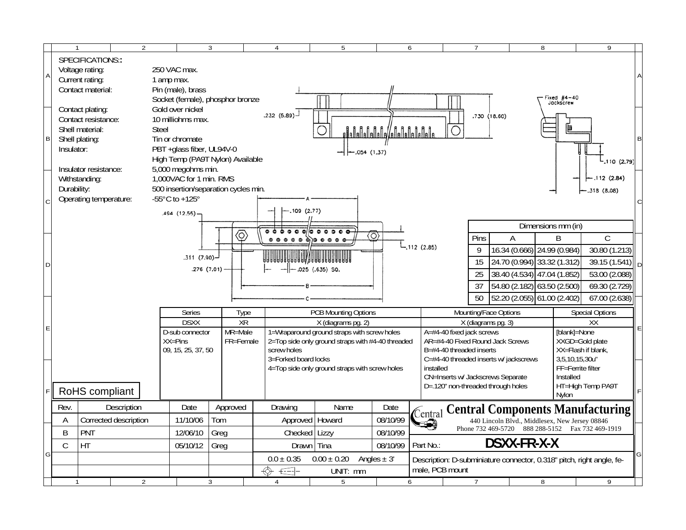|                                                                             |                                                                             | $\mathfrak{D}$                           |                |                                               | ર |           |                                                                                                                                                                                                                                                                                                                                                                                                                                                                                                                                                                                                                                                                                                                                                                                                                                                                                                                                                                                                                                                                                                                                                                                                                                                                                                                                                                                                                                                                                                                                                                                                                                                                                                            |             |   |  |  |   |  | $\overline{7}$ |            |  |   |  | $\mathsf{Q}$ |  |  |
|-----------------------------------------------------------------------------|-----------------------------------------------------------------------------|------------------------------------------|----------------|-----------------------------------------------|---|-----------|------------------------------------------------------------------------------------------------------------------------------------------------------------------------------------------------------------------------------------------------------------------------------------------------------------------------------------------------------------------------------------------------------------------------------------------------------------------------------------------------------------------------------------------------------------------------------------------------------------------------------------------------------------------------------------------------------------------------------------------------------------------------------------------------------------------------------------------------------------------------------------------------------------------------------------------------------------------------------------------------------------------------------------------------------------------------------------------------------------------------------------------------------------------------------------------------------------------------------------------------------------------------------------------------------------------------------------------------------------------------------------------------------------------------------------------------------------------------------------------------------------------------------------------------------------------------------------------------------------------------------------------------------------------------------------------------------------|-------------|---|--|--|---|--|----------------|------------|--|---|--|--------------|--|--|
|                                                                             |                                                                             | SPECIFICATIONS::                         |                |                                               |   |           |                                                                                                                                                                                                                                                                                                                                                                                                                                                                                                                                                                                                                                                                                                                                                                                                                                                                                                                                                                                                                                                                                                                                                                                                                                                                                                                                                                                                                                                                                                                                                                                                                                                                                                            |             | 5 |  |  | 6 |  |                |            |  | 8 |  |              |  |  |
| $\overline{A}$<br>$\overline{B}$                                            |                                                                             | Voltage rating:                          |                | 250 VAC max.                                  |   |           |                                                                                                                                                                                                                                                                                                                                                                                                                                                                                                                                                                                                                                                                                                                                                                                                                                                                                                                                                                                                                                                                                                                                                                                                                                                                                                                                                                                                                                                                                                                                                                                                                                                                                                            |             |   |  |  |   |  |                |            |  |   |  |              |  |  |
|                                                                             |                                                                             | Current rating:<br>Contact material:     |                | 1 amp max.<br>Pin (male), brass               |   |           |                                                                                                                                                                                                                                                                                                                                                                                                                                                                                                                                                                                                                                                                                                                                                                                                                                                                                                                                                                                                                                                                                                                                                                                                                                                                                                                                                                                                                                                                                                                                                                                                                                                                                                            |             |   |  |  |   |  |                |            |  |   |  |              |  |  |
|                                                                             |                                                                             |                                          |                | Socket (female), phosphor bronze              |   |           |                                                                                                                                                                                                                                                                                                                                                                                                                                                                                                                                                                                                                                                                                                                                                                                                                                                                                                                                                                                                                                                                                                                                                                                                                                                                                                                                                                                                                                                                                                                                                                                                                                                                                                            |             |   |  |  |   |  |                |            |  |   |  |              |  |  |
|                                                                             |                                                                             | Contact plating:                         |                | Gold over nickel                              |   |           |                                                                                                                                                                                                                                                                                                                                                                                                                                                                                                                                                                                                                                                                                                                                                                                                                                                                                                                                                                                                                                                                                                                                                                                                                                                                                                                                                                                                                                                                                                                                                                                                                                                                                                            |             |   |  |  |   |  |                |            |  |   |  |              |  |  |
|                                                                             | Contact resistance:<br>10 milliohms max.<br>Shell material:<br><b>Steel</b> |                                          |                |                                               |   |           |                                                                                                                                                                                                                                                                                                                                                                                                                                                                                                                                                                                                                                                                                                                                                                                                                                                                                                                                                                                                                                                                                                                                                                                                                                                                                                                                                                                                                                                                                                                                                                                                                                                                                                            |             |   |  |  |   |  |                |            |  |   |  |              |  |  |
|                                                                             |                                                                             | Shell plating:                           |                |                                               |   |           |                                                                                                                                                                                                                                                                                                                                                                                                                                                                                                                                                                                                                                                                                                                                                                                                                                                                                                                                                                                                                                                                                                                                                                                                                                                                                                                                                                                                                                                                                                                                                                                                                                                                                                            |             |   |  |  |   |  |                |            |  |   |  |              |  |  |
| Tin or chromate<br>Insulator:<br>PBT +glass fiber, UL94V-0<br>$-.054(1.37)$ |                                                                             |                                          |                |                                               |   |           |                                                                                                                                                                                                                                                                                                                                                                                                                                                                                                                                                                                                                                                                                                                                                                                                                                                                                                                                                                                                                                                                                                                                                                                                                                                                                                                                                                                                                                                                                                                                                                                                                                                                                                            |             |   |  |  |   |  |                |            |  |   |  |              |  |  |
|                                                                             |                                                                             |                                          |                | High Temp (PA9T Nylon) Available              |   |           |                                                                                                                                                                                                                                                                                                                                                                                                                                                                                                                                                                                                                                                                                                                                                                                                                                                                                                                                                                                                                                                                                                                                                                                                                                                                                                                                                                                                                                                                                                                                                                                                                                                                                                            |             |   |  |  |   |  |                |            |  |   |  |              |  |  |
|                                                                             |                                                                             | Insulator resistance:<br>Withstanding:   |                | 5,000 megohms min.<br>1,000VAC for 1 min. RMS |   |           |                                                                                                                                                                                                                                                                                                                                                                                                                                                                                                                                                                                                                                                                                                                                                                                                                                                                                                                                                                                                                                                                                                                                                                                                                                                                                                                                                                                                                                                                                                                                                                                                                                                                                                            |             |   |  |  |   |  |                |            |  |   |  |              |  |  |
|                                                                             | Durability:<br>500 insertion/separation cycles min.                         |                                          |                |                                               |   |           |                                                                                                                                                                                                                                                                                                                                                                                                                                                                                                                                                                                                                                                                                                                                                                                                                                                                                                                                                                                                                                                                                                                                                                                                                                                                                                                                                                                                                                                                                                                                                                                                                                                                                                            |             |   |  |  |   |  |                | .318(8.08) |  |   |  |              |  |  |
|                                                                             | Operating temperature:<br>-55 $^{\circ}$ C to +125 $^{\circ}$               |                                          |                |                                               |   |           |                                                                                                                                                                                                                                                                                                                                                                                                                                                                                                                                                                                                                                                                                                                                                                                                                                                                                                                                                                                                                                                                                                                                                                                                                                                                                                                                                                                                                                                                                                                                                                                                                                                                                                            |             |   |  |  |   |  |                |            |  |   |  |              |  |  |
|                                                                             |                                                                             |                                          |                | .494 (12.55)                                  |   |           |                                                                                                                                                                                                                                                                                                                                                                                                                                                                                                                                                                                                                                                                                                                                                                                                                                                                                                                                                                                                                                                                                                                                                                                                                                                                                                                                                                                                                                                                                                                                                                                                                                                                                                            |             |   |  |  |   |  |                |            |  |   |  |              |  |  |
|                                                                             |                                                                             |                                          |                |                                               |   |           |                                                                                                                                                                                                                                                                                                                                                                                                                                                                                                                                                                                                                                                                                                                                                                                                                                                                                                                                                                                                                                                                                                                                                                                                                                                                                                                                                                                                                                                                                                                                                                                                                                                                                                            |             |   |  |  |   |  |                |            |  |   |  |              |  |  |
|                                                                             | $.311(7.90)$ -                                                              |                                          |                |                                               |   |           | $\begin{array}{cccccccccccccc} \circ & \circ & \circ & \circ & \circ & \circ \end{array}$<br>0 <sub>0</sub> 0 <sub>0</sub> 0                                                                                                                                                                                                                                                                                                                                                                                                                                                                                                                                                                                                                                                                                                                                                                                                                                                                                                                                                                                                                                                                                                                                                                                                                                                                                                                                                                                                                                                                                                                                                                               |             |   |  |  |   |  | Pins           |            |  |   |  | $\mathsf{C}$ |  |  |
| ID.                                                                         |                                                                             |                                          |                |                                               |   |           |                                                                                                                                                                                                                                                                                                                                                                                                                                                                                                                                                                                                                                                                                                                                                                                                                                                                                                                                                                                                                                                                                                                                                                                                                                                                                                                                                                                                                                                                                                                                                                                                                                                                                                            |             |   |  |  |   |  |                |            |  |   |  |              |  |  |
|                                                                             |                                                                             |                                          | $.276(7.01)$ - |                                               |   |           |                                                                                                                                                                                                                                                                                                                                                                                                                                                                                                                                                                                                                                                                                                                                                                                                                                                                                                                                                                                                                                                                                                                                                                                                                                                                                                                                                                                                                                                                                                                                                                                                                                                                                                            |             |   |  |  |   |  |                |            |  |   |  |              |  |  |
|                                                                             |                                                                             |                                          |                |                                               |   |           |                                                                                                                                                                                                                                                                                                                                                                                                                                                                                                                                                                                                                                                                                                                                                                                                                                                                                                                                                                                                                                                                                                                                                                                                                                                                                                                                                                                                                                                                                                                                                                                                                                                                                                            |             |   |  |  |   |  |                |            |  |   |  |              |  |  |
|                                                                             |                                                                             |                                          |                |                                               |   |           | Fixed $#4-40$<br>Jackscrew<br>.232 (5,89)<br>.730 (18.60)<br>$-110(2.79)$<br>.112(2.84)<br>$-.109(2.77)$<br>Dimensions mm (in)<br>ⓒ<br>O)<br>$\overline{B}$<br>A<br>$L_{.112}$ (2.85)<br>16.34 (0.666) 24.99 (0.984)<br>9<br>30.80(1.213)<br>24.70 (0.994) 33.32 (1.312)<br>15<br>$39.15(1.541)$ D<br>$-$  -.025 (.635) SQ.<br>38.40 (4.534) 47.04 (1.852)<br>25<br>53.00 (2.088)<br>54.80 (2.182) 63.50 (2.500)<br>37<br>69.30 (2.729)<br>52.20 (2.055) 61.00 (2.402)<br>50<br>67.00 (2.638)<br><b>PCB Mounting Options</b><br>Mounting/Face Options<br><b>Special Options</b><br>Type<br>XR<br>X (diagrams pg. 2)<br>X (diagrams pg. 3)<br>XX<br>1=Wraparound ground straps with screw holes<br>A=#4-40 fixed jack screws<br>[blank]=None<br>2=Top side only ground straps with #4-40 threaded<br>AR=#4-40 Fixed Round Jack Screws<br>XXGD=Gold plate<br>XX=Flash if blank,<br>screw holes<br>B=#4-40 threaded inserts<br>3=Forked board locks<br>C=#4-40 threaded inserts w/ jackscrews<br>3,5,10,15,30u"<br>4=Top side only ground straps with screw holes<br>installed<br>FF=Ferrite filter<br>CN=Inserts w/ Jackscrews Separate<br>Installed<br>D=.120" non-threaded through holes<br>HT=High Temp PA9T<br>Nylon<br>Name<br>Drawing<br>Date<br><b>Central Components Manufacturing</b><br>Central<br>08/10/99<br>Approved   Howard<br>440 Lincoln Blvd., Middlesex, New Jersey 08846<br>⊐⊖0<br>Phone 732 469-5720 888 288-5152 Fax 732 469-1919<br>Checked   Lizzy<br>08/10/99<br>DSXX-FR-X-X<br>Drawn Tina<br>08/10/99<br>Part No.:<br>$0.00 \pm 0.20$<br>$0.0 \pm 0.35$<br>Angles $\pm$ 3'<br>Description: D-subminiature connector, 0.318" pitch, right angle, fe-<br>male, PCB mount<br>UNIT: mm |             |   |  |  |   |  |                |            |  |   |  |              |  |  |
|                                                                             |                                                                             |                                          |                |                                               |   |           |                                                                                                                                                                                                                                                                                                                                                                                                                                                                                                                                                                                                                                                                                                                                                                                                                                                                                                                                                                                                                                                                                                                                                                                                                                                                                                                                                                                                                                                                                                                                                                                                                                                                                                            |             |   |  |  |   |  |                |            |  |   |  |              |  |  |
|                                                                             |                                                                             |                                          |                | Series<br><b>DSXX</b>                         |   |           |                                                                                                                                                                                                                                                                                                                                                                                                                                                                                                                                                                                                                                                                                                                                                                                                                                                                                                                                                                                                                                                                                                                                                                                                                                                                                                                                                                                                                                                                                                                                                                                                                                                                                                            |             |   |  |  |   |  |                |            |  |   |  |              |  |  |
| E                                                                           |                                                                             |                                          |                | D-sub connector                               |   | MR=Male   |                                                                                                                                                                                                                                                                                                                                                                                                                                                                                                                                                                                                                                                                                                                                                                                                                                                                                                                                                                                                                                                                                                                                                                                                                                                                                                                                                                                                                                                                                                                                                                                                                                                                                                            |             |   |  |  |   |  |                |            |  |   |  |              |  |  |
|                                                                             | $XX = Pins$                                                                 |                                          |                |                                               |   | FR=Female |                                                                                                                                                                                                                                                                                                                                                                                                                                                                                                                                                                                                                                                                                                                                                                                                                                                                                                                                                                                                                                                                                                                                                                                                                                                                                                                                                                                                                                                                                                                                                                                                                                                                                                            |             |   |  |  |   |  |                |            |  |   |  |              |  |  |
|                                                                             |                                                                             | 09, 15, 25, 37, 50                       |                |                                               |   |           |                                                                                                                                                                                                                                                                                                                                                                                                                                                                                                                                                                                                                                                                                                                                                                                                                                                                                                                                                                                                                                                                                                                                                                                                                                                                                                                                                                                                                                                                                                                                                                                                                                                                                                            |             |   |  |  |   |  |                |            |  |   |  |              |  |  |
|                                                                             |                                                                             |                                          |                |                                               |   |           |                                                                                                                                                                                                                                                                                                                                                                                                                                                                                                                                                                                                                                                                                                                                                                                                                                                                                                                                                                                                                                                                                                                                                                                                                                                                                                                                                                                                                                                                                                                                                                                                                                                                                                            |             |   |  |  |   |  |                |            |  |   |  |              |  |  |
|                                                                             |                                                                             |                                          |                |                                               |   |           |                                                                                                                                                                                                                                                                                                                                                                                                                                                                                                                                                                                                                                                                                                                                                                                                                                                                                                                                                                                                                                                                                                                                                                                                                                                                                                                                                                                                                                                                                                                                                                                                                                                                                                            |             |   |  |  |   |  |                |            |  |   |  |              |  |  |
|                                                                             |                                                                             | RoHS compliant                           |                |                                               |   |           |                                                                                                                                                                                                                                                                                                                                                                                                                                                                                                                                                                                                                                                                                                                                                                                                                                                                                                                                                                                                                                                                                                                                                                                                                                                                                                                                                                                                                                                                                                                                                                                                                                                                                                            |             |   |  |  |   |  |                |            |  |   |  |              |  |  |
|                                                                             | Rev.                                                                        | Description                              |                | Date                                          |   | Approved  |                                                                                                                                                                                                                                                                                                                                                                                                                                                                                                                                                                                                                                                                                                                                                                                                                                                                                                                                                                                                                                                                                                                                                                                                                                                                                                                                                                                                                                                                                                                                                                                                                                                                                                            |             |   |  |  |   |  |                |            |  |   |  |              |  |  |
|                                                                             | A                                                                           | 11/10/06<br>Corrected description<br>Tom |                |                                               |   |           |                                                                                                                                                                                                                                                                                                                                                                                                                                                                                                                                                                                                                                                                                                                                                                                                                                                                                                                                                                                                                                                                                                                                                                                                                                                                                                                                                                                                                                                                                                                                                                                                                                                                                                            |             |   |  |  |   |  |                |            |  |   |  |              |  |  |
|                                                                             | B                                                                           | PNT                                      |                | 12/06/10<br>Greg                              |   |           |                                                                                                                                                                                                                                                                                                                                                                                                                                                                                                                                                                                                                                                                                                                                                                                                                                                                                                                                                                                                                                                                                                                                                                                                                                                                                                                                                                                                                                                                                                                                                                                                                                                                                                            |             |   |  |  |   |  |                |            |  |   |  |              |  |  |
| G                                                                           | $\mathsf C$                                                                 | HT                                       |                | 05/10/12<br>Greg                              |   |           |                                                                                                                                                                                                                                                                                                                                                                                                                                                                                                                                                                                                                                                                                                                                                                                                                                                                                                                                                                                                                                                                                                                                                                                                                                                                                                                                                                                                                                                                                                                                                                                                                                                                                                            |             |   |  |  |   |  |                |            |  |   |  |              |  |  |
|                                                                             |                                                                             |                                          |                |                                               |   |           |                                                                                                                                                                                                                                                                                                                                                                                                                                                                                                                                                                                                                                                                                                                                                                                                                                                                                                                                                                                                                                                                                                                                                                                                                                                                                                                                                                                                                                                                                                                                                                                                                                                                                                            |             |   |  |  |   |  |                |            |  |   |  |              |  |  |
|                                                                             |                                                                             |                                          |                |                                               |   |           | ⇎                                                                                                                                                                                                                                                                                                                                                                                                                                                                                                                                                                                                                                                                                                                                                                                                                                                                                                                                                                                                                                                                                                                                                                                                                                                                                                                                                                                                                                                                                                                                                                                                                                                                                                          | $\bigoplus$ |   |  |  |   |  |                |            |  |   |  |              |  |  |
|                                                                             |                                                                             | 2                                        |                |                                               | 3 |           | 4                                                                                                                                                                                                                                                                                                                                                                                                                                                                                                                                                                                                                                                                                                                                                                                                                                                                                                                                                                                                                                                                                                                                                                                                                                                                                                                                                                                                                                                                                                                                                                                                                                                                                                          |             | 5 |  |  | 6 |  | $\overline{7}$ |            |  | 8 |  | 9            |  |  |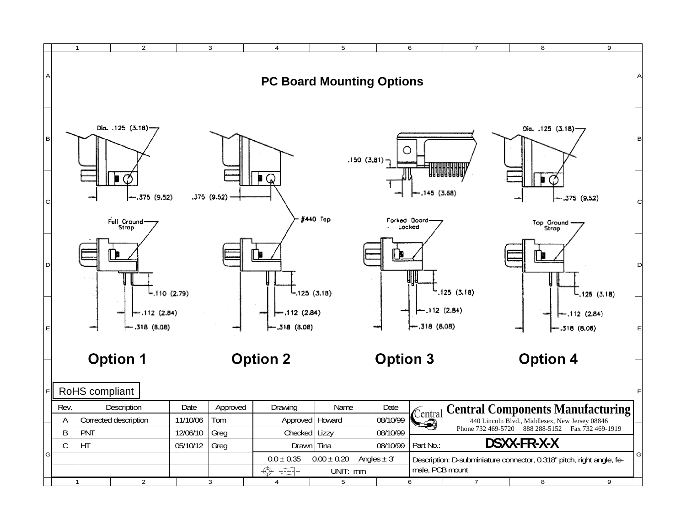